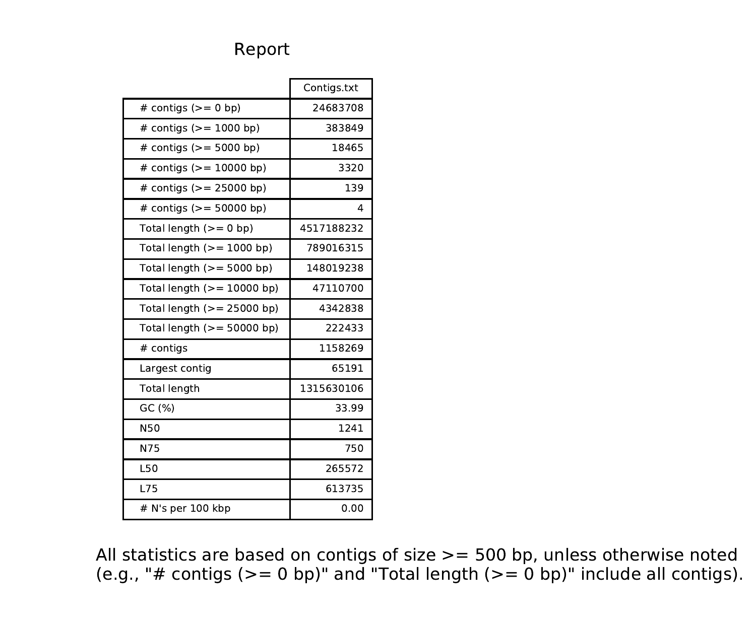## Report

|                              | Contigs.txt |
|------------------------------|-------------|
| # contigs $(>= 0$ bp)        | 24683708    |
| # contigs $(>= 1000$ bp)     | 383849      |
| # contigs $(>= 5000$ bp)     | 18465       |
| # contigs $(>= 10000$ bp)    | 3320        |
| # contigs ( $> = 25000$ bp)  | 139         |
| # contigs ( $> = 50000$ bp)  | 4           |
| Total length $(>= 0$ bp)     | 4517188232  |
| Total length $(>= 1000$ bp)  | 789016315   |
| Total length $(>= 5000$ bp)  | 148019238   |
| Total length $(>= 10000$ bp) | 47110700    |
| Total length $(>= 25000$ bp) | 4342838     |
| Total length $(>= 50000$ bp) | 222433      |
| # contigs                    | 1158269     |
| Largest contig               | 65191       |
| <b>Total length</b>          | 1315630106  |
| GC (%)                       | 33.99       |
| N50                          | 1241        |
| N75                          | 750         |
| L50                          | 265572      |
| L75                          | 613735      |
| # N's per 100 kbp            | 0.00        |

All statistics are based on contigs of size >= 500 bp, unless otherwise noted (e.g., "# contigs (>= 0 bp)" and "Total length (>= 0 bp)" include all contigs).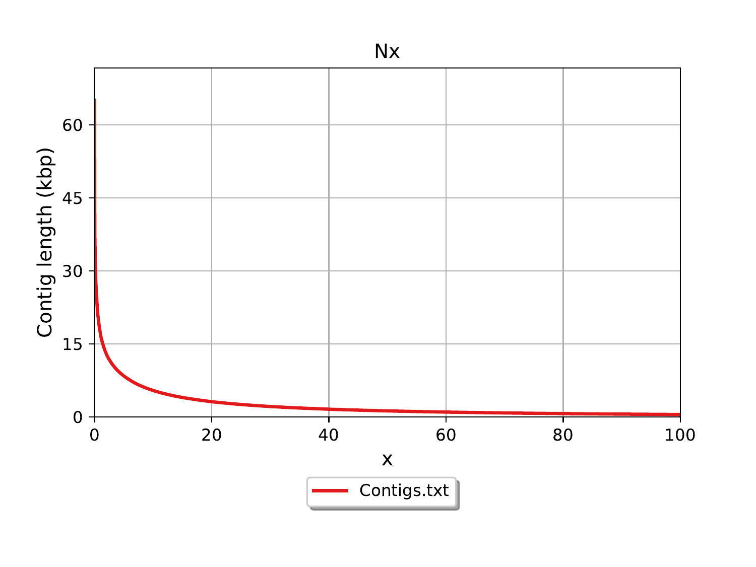

Nx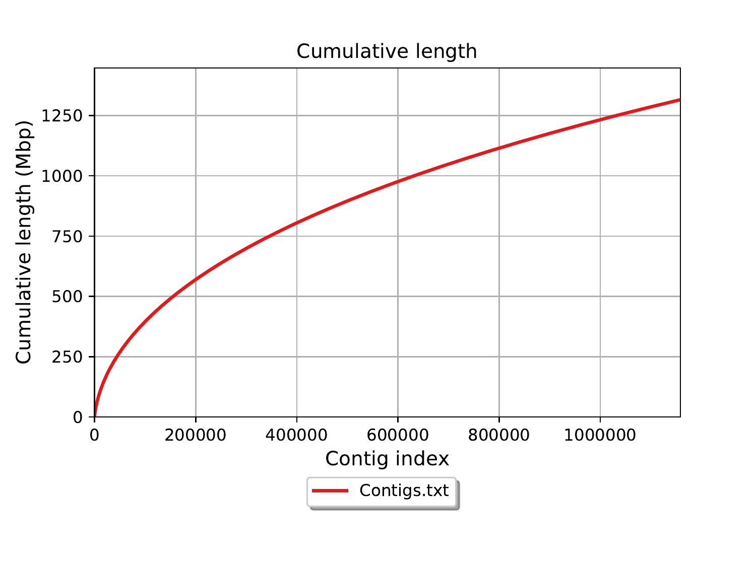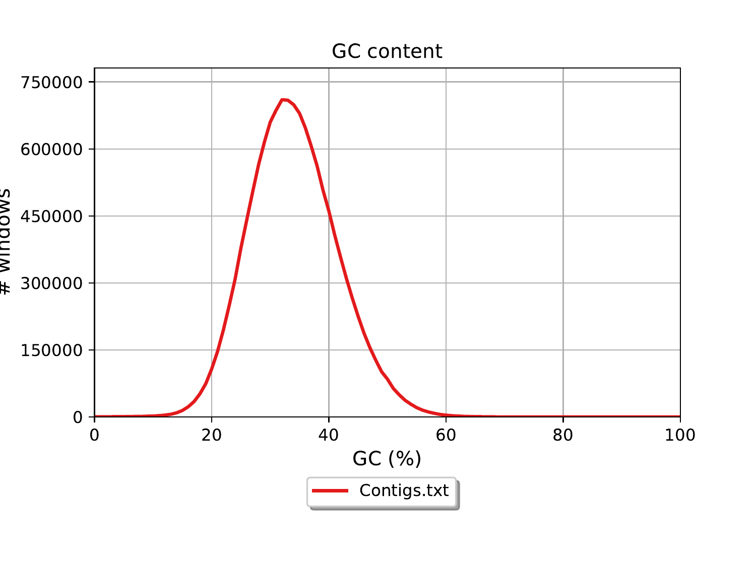## GC content